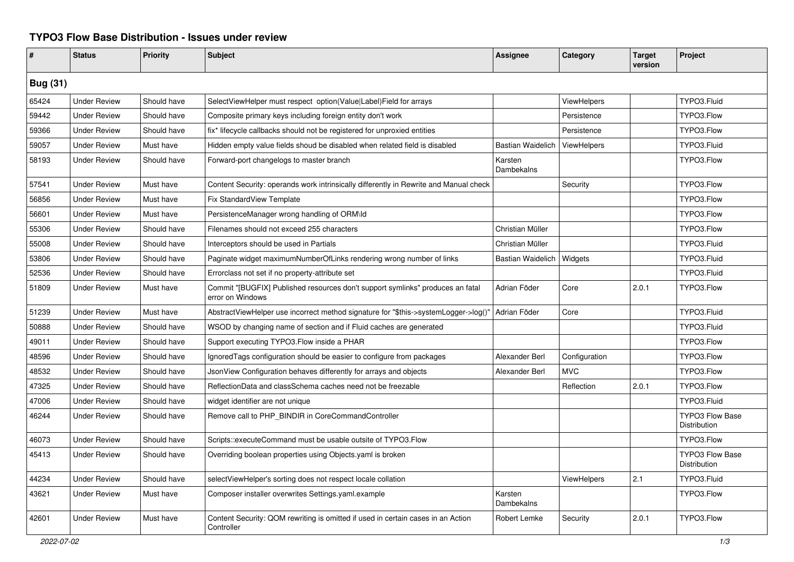## **TYPO3 Flow Base Distribution - Issues under review**

| #               | <b>Status</b>       | <b>Priority</b> | <b>Subject</b>                                                                                     | <b>Assignee</b>          | Category           | <b>Target</b><br>version | Project                                |
|-----------------|---------------------|-----------------|----------------------------------------------------------------------------------------------------|--------------------------|--------------------|--------------------------|----------------------------------------|
| <b>Bug (31)</b> |                     |                 |                                                                                                    |                          |                    |                          |                                        |
| 65424           | <b>Under Review</b> | Should have     | SelectViewHelper must respect option(Value Label) Field for arrays                                 |                          | <b>ViewHelpers</b> |                          | TYPO3.Fluid                            |
| 59442           | <b>Under Review</b> | Should have     | Composite primary keys including foreign entity don't work                                         |                          | Persistence        |                          | TYPO3.Flow                             |
| 59366           | <b>Under Review</b> | Should have     | fix* lifecycle callbacks should not be registered for unproxied entities                           |                          | Persistence        |                          | TYPO3.Flow                             |
| 59057           | <b>Under Review</b> | Must have       | Hidden empty value fields shoud be disabled when related field is disabled                         | <b>Bastian Waidelich</b> | ViewHelpers        |                          | TYPO3.Fluid                            |
| 58193           | <b>Under Review</b> | Should have     | Forward-port changelogs to master branch                                                           | Karsten<br>Dambekalns    |                    |                          | TYPO3.Flow                             |
| 57541           | <b>Under Review</b> | Must have       | Content Security: operands work intrinsically differently in Rewrite and Manual check              |                          | Security           |                          | TYPO3.Flow                             |
| 56856           | <b>Under Review</b> | Must have       | Fix StandardView Template                                                                          |                          |                    |                          | TYPO3.Flow                             |
| 56601           | <b>Under Review</b> | Must have       | PersistenceManager wrong handling of ORM\ld                                                        |                          |                    |                          | TYPO3.Flow                             |
| 55306           | <b>Under Review</b> | Should have     | Filenames should not exceed 255 characters                                                         | Christian Müller         |                    |                          | TYPO3.Flow                             |
| 55008           | <b>Under Review</b> | Should have     | Interceptors should be used in Partials                                                            | Christian Müller         |                    |                          | TYPO3.Fluid                            |
| 53806           | <b>Under Review</b> | Should have     | Paginate widget maximumNumberOfLinks rendering wrong number of links                               | <b>Bastian Waidelich</b> | Widgets            |                          | TYPO3.Fluid                            |
| 52536           | <b>Under Review</b> | Should have     | Errorclass not set if no property-attribute set                                                    |                          |                    |                          | TYPO3.Fluid                            |
| 51809           | <b>Under Review</b> | Must have       | Commit "[BUGFIX] Published resources don't support symlinks" produces an fatal<br>error on Windows | Adrian Föder             | Core               | 2.0.1                    | TYPO3.Flow                             |
| 51239           | <b>Under Review</b> | Must have       | AbstractViewHelper use incorrect method signature for "\$this->systemLogger->log()"                | Adrian Föder             | Core               |                          | TYPO3.Fluid                            |
| 50888           | <b>Under Review</b> | Should have     | WSOD by changing name of section and if Fluid caches are generated                                 |                          |                    |                          | TYPO3.Fluid                            |
| 49011           | <b>Under Review</b> | Should have     | Support executing TYPO3. Flow inside a PHAR                                                        |                          |                    |                          | TYPO3.Flow                             |
| 48596           | <b>Under Review</b> | Should have     | IgnoredTags configuration should be easier to configure from packages                              | Alexander Berl           | Configuration      |                          | TYPO3.Flow                             |
| 48532           | <b>Under Review</b> | Should have     | JsonView Configuration behaves differently for arrays and objects                                  | Alexander Berl           | <b>MVC</b>         |                          | TYPO3.Flow                             |
| 47325           | <b>Under Review</b> | Should have     | ReflectionData and classSchema caches need not be freezable                                        |                          | Reflection         | 2.0.1                    | TYPO3.Flow                             |
| 47006           | <b>Under Review</b> | Should have     | widget identifier are not unique                                                                   |                          |                    |                          | TYPO3.Fluid                            |
| 46244           | <b>Under Review</b> | Should have     | Remove call to PHP BINDIR in CoreCommandController                                                 |                          |                    |                          | <b>TYPO3 Flow Base</b><br>Distribution |
| 46073           | <b>Under Review</b> | Should have     | Scripts::executeCommand must be usable outsite of TYPO3.Flow                                       |                          |                    |                          | TYPO3.Flow                             |
| 45413           | <b>Under Review</b> | Should have     | Overriding boolean properties using Objects.yaml is broken                                         |                          |                    |                          | <b>TYPO3 Flow Base</b><br>Distribution |
| 44234           | <b>Under Review</b> | Should have     | selectViewHelper's sorting does not respect locale collation                                       |                          | <b>ViewHelpers</b> | 2.1                      | TYPO3.Fluid                            |
| 43621           | <b>Under Review</b> | Must have       | Composer installer overwrites Settings.yaml.example                                                | Karsten<br>Dambekalns    |                    |                          | TYPO3.Flow                             |
| 42601           | <b>Under Review</b> | Must have       | Content Security: QOM rewriting is omitted if used in certain cases in an Action<br>Controller     | Robert Lemke             | Security           | 2.0.1                    | TYPO3.Flow                             |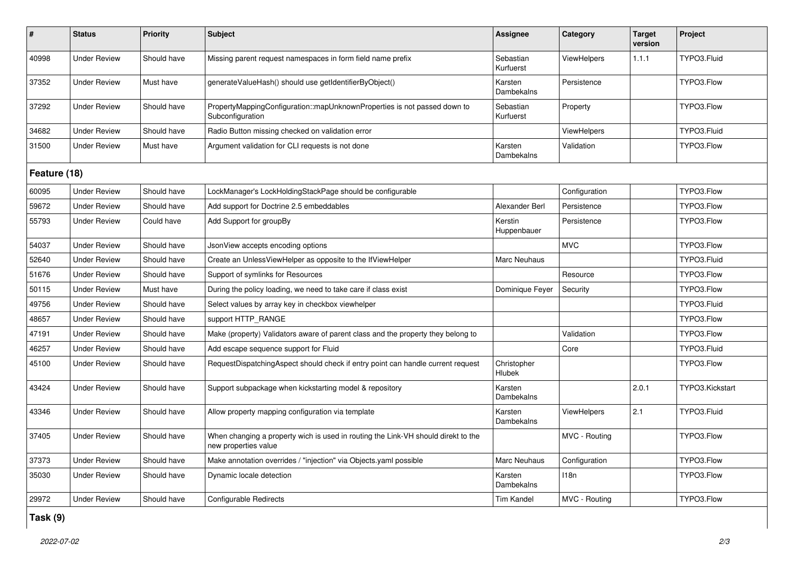| $\pmb{\sharp}$ | <b>Status</b>       | <b>Priority</b> | <b>Subject</b>                                                                                            | Assignee               | Category           | <b>Target</b><br>version | Project         |  |
|----------------|---------------------|-----------------|-----------------------------------------------------------------------------------------------------------|------------------------|--------------------|--------------------------|-----------------|--|
| 40998          | <b>Under Review</b> | Should have     | Missing parent request namespaces in form field name prefix                                               | Sebastian<br>Kurfuerst | ViewHelpers        | 1.1.1                    | TYPO3.Fluid     |  |
| 37352          | <b>Under Review</b> | Must have       | generateValueHash() should use getIdentifierByObject()                                                    | Karsten<br>Dambekalns  | Persistence        |                          | TYPO3.Flow      |  |
| 37292          | <b>Under Review</b> | Should have     | PropertyMappingConfiguration::mapUnknownProperties is not passed down to<br>Subconfiguration              | Sebastian<br>Kurfuerst | Property           |                          | TYPO3.Flow      |  |
| 34682          | <b>Under Review</b> | Should have     | Radio Button missing checked on validation error                                                          |                        | <b>ViewHelpers</b> |                          | TYPO3.Fluid     |  |
| 31500          | <b>Under Review</b> | Must have       | Argument validation for CLI requests is not done                                                          | Karsten<br>Dambekalns  | Validation         |                          | TYPO3.Flow      |  |
| Feature (18)   |                     |                 |                                                                                                           |                        |                    |                          |                 |  |
| 60095          | <b>Under Review</b> | Should have     | LockManager's LockHoldingStackPage should be configurable                                                 |                        | Configuration      |                          | TYPO3.Flow      |  |
| 59672          | <b>Under Review</b> | Should have     | Add support for Doctrine 2.5 embeddables                                                                  | Alexander Berl         | Persistence        |                          | TYPO3.Flow      |  |
| 55793          | <b>Under Review</b> | Could have      | Add Support for groupBy                                                                                   | Kerstin<br>Huppenbauer | Persistence        |                          | TYPO3.Flow      |  |
| 54037          | <b>Under Review</b> | Should have     | JsonView accepts encoding options                                                                         |                        | <b>MVC</b>         |                          | TYPO3.Flow      |  |
| 52640          | <b>Under Review</b> | Should have     | Create an UnlessViewHelper as opposite to the IfViewHelper                                                | Marc Neuhaus           |                    |                          | TYPO3.Fluid     |  |
| 51676          | <b>Under Review</b> | Should have     | Support of symlinks for Resources                                                                         |                        | Resource           |                          | TYPO3.Flow      |  |
| 50115          | <b>Under Review</b> | Must have       | During the policy loading, we need to take care if class exist                                            | Dominique Feyer        | Security           |                          | TYPO3.Flow      |  |
| 49756          | <b>Under Review</b> | Should have     | Select values by array key in checkbox viewhelper                                                         |                        |                    |                          | TYPO3.Fluid     |  |
| 48657          | <b>Under Review</b> | Should have     | support HTTP RANGE                                                                                        |                        |                    |                          | TYPO3.Flow      |  |
| 47191          | <b>Under Review</b> | Should have     | Make (property) Validators aware of parent class and the property they belong to                          |                        | Validation         |                          | TYPO3.Flow      |  |
| 46257          | <b>Under Review</b> | Should have     | Add escape sequence support for Fluid                                                                     |                        | Core               |                          | TYPO3.Fluid     |  |
| 45100          | <b>Under Review</b> | Should have     | RequestDispatchingAspect should check if entry point can handle current request                           | Christopher<br>Hlubek  |                    |                          | TYPO3.Flow      |  |
| 43424          | <b>Under Review</b> | Should have     | Support subpackage when kickstarting model & repository                                                   | Karsten<br>Dambekalns  |                    | 2.0.1                    | TYPO3.Kickstart |  |
| 43346          | <b>Under Review</b> | Should have     | Allow property mapping configuration via template                                                         | Karsten<br>Dambekalns  | <b>ViewHelpers</b> | 2.1                      | TYPO3.Fluid     |  |
| 37405          | <b>Under Review</b> | Should have     | When changing a property wich is used in routing the Link-VH should direkt to the<br>new properties value |                        | MVC - Routing      |                          | TYPO3.Flow      |  |
| 37373          | <b>Under Review</b> | Should have     | Make annotation overrides / "injection" via Objects yaml possible                                         | <b>Marc Neuhaus</b>    | Configuration      |                          | TYPO3.Flow      |  |
| 35030          | <b>Under Review</b> | Should have     | Dynamic locale detection                                                                                  | Karsten<br>Dambekalns  | 118n               |                          | TYPO3.Flow      |  |
| 29972          | <b>Under Review</b> | Should have     | Configurable Redirects                                                                                    | Tim Kandel             | MVC - Routing      |                          | TYPO3.Flow      |  |

**Task (9)**